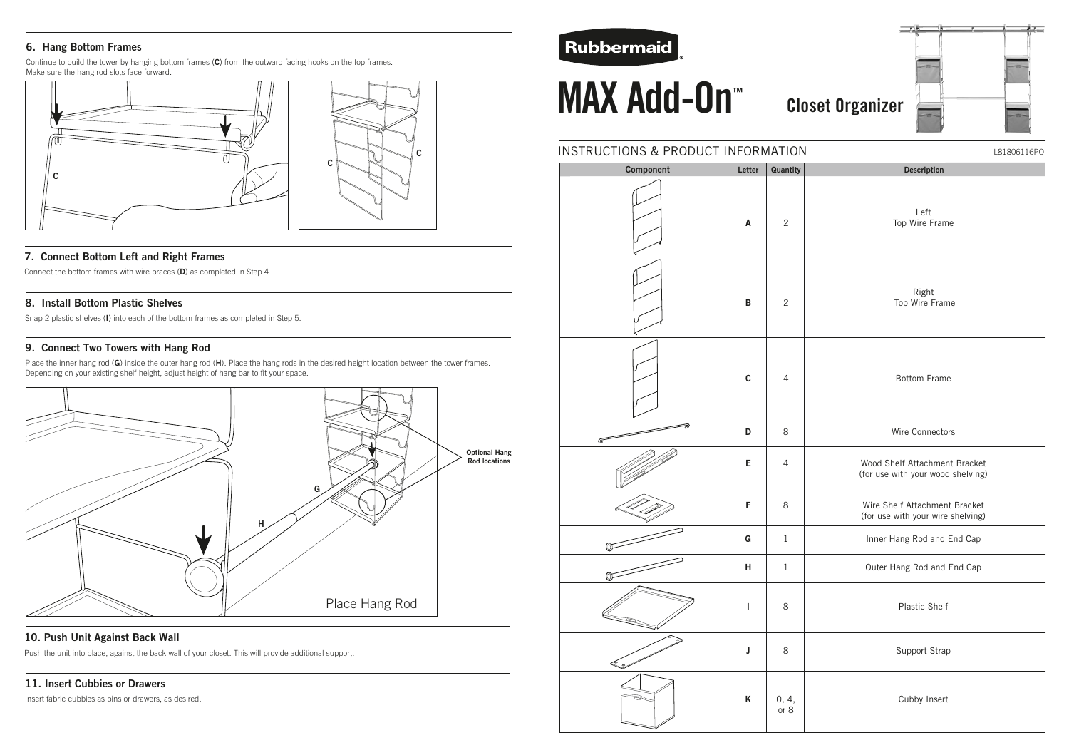# INSTRUCTIONS & PRODUCT INFORMATION

# **MAX Add-On<sup>™</sup> Closet Organizer ™**

| Component   | Letter             | Quantity       | <b>Descript</b>                            |
|-------------|--------------------|----------------|--------------------------------------------|
|             | $\pmb{\mathsf{A}}$ | $\mathbf{2}$   | Left<br>Top Wire F                         |
|             | $\, {\bf B}$       | $\mathbf{2}$   | Right<br>Top Wire I                        |
|             | $\mathbf C$        | $\sqrt{4}$     | Bottom F                                   |
| ∍           | D                  | 8              | Wire Conne                                 |
|             | E                  | $\overline{4}$ | Wood Shelf Attach<br>(for use with your v  |
|             | F                  | 8              | Wire Shelf Attachı<br>(for use with your v |
|             | G                  | $\mathbf{1}$   | Inner Hang Rod a                           |
| $\mathbb O$ | $\mathsf{H}$       | $\,1$          | Outer Hang Rod a                           |
|             | ı                  | 8              | Plastic S                                  |
| ತಿ          | J                  | 8              | Support S                                  |
|             | K                  | $0, 4,$ or $8$ | Cubby In                                   |

# **6. Hang Bottom Frames**

Continue to build the tower by hanging bottom frames (**C**) from the outward facing hooks on the top frames. Make sure the hang rod slots face forward.

## **7. Connect Bottom Left and Right Frames**

Connect the bottom frames with wire braces (**D**) as completed in Step 4.



### **8. Install Bottom Plastic Shelves**

Snap 2 plastic shelves (**I**) into each of the bottom frames as completed in Step 5.

# **9. Connect Two Towers with Hang Rod**

Place the inner hang rod (**G**) inside the outer hang rod (**H**). Place the hang rods in the desired height location between the tower frames. Depending on your existing shelf height, adjust height of hang bar to fit your space.

# **10. Push Unit Against Back Wall**

Push the unit into place, against the back wall of your closet. This will provide additional support.

# **11. Insert Cubbies or Drawers**

Insert fabric cubbies as bins or drawers, as desired.

# **Rubbermaid**